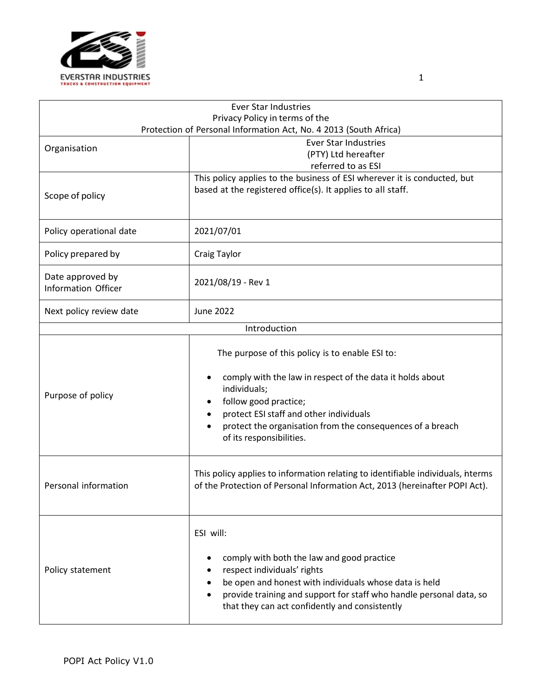

|                                         | Ever Star Industries                                                                                                                                                                                                                                                                                                      |  |  |
|-----------------------------------------|---------------------------------------------------------------------------------------------------------------------------------------------------------------------------------------------------------------------------------------------------------------------------------------------------------------------------|--|--|
| Privacy Policy in terms of the          |                                                                                                                                                                                                                                                                                                                           |  |  |
|                                         | Protection of Personal Information Act, No. 4 2013 (South Africa)<br><b>Ever Star Industries</b>                                                                                                                                                                                                                          |  |  |
| Organisation                            | (PTY) Ltd hereafter                                                                                                                                                                                                                                                                                                       |  |  |
|                                         | referred to as ESI                                                                                                                                                                                                                                                                                                        |  |  |
|                                         | This policy applies to the business of ESI wherever it is conducted, but<br>based at the registered office(s). It applies to all staff.                                                                                                                                                                                   |  |  |
| Scope of policy                         |                                                                                                                                                                                                                                                                                                                           |  |  |
| Policy operational date                 | 2021/07/01                                                                                                                                                                                                                                                                                                                |  |  |
| Policy prepared by                      | <b>Craig Taylor</b>                                                                                                                                                                                                                                                                                                       |  |  |
| Date approved by<br>Information Officer | 2021/08/19 - Rev 1                                                                                                                                                                                                                                                                                                        |  |  |
| Next policy review date                 | <b>June 2022</b>                                                                                                                                                                                                                                                                                                          |  |  |
|                                         | Introduction                                                                                                                                                                                                                                                                                                              |  |  |
| Purpose of policy                       | The purpose of this policy is to enable ESI to:<br>comply with the law in respect of the data it holds about<br>$\bullet$<br>individuals;<br>follow good practice;<br>٠<br>protect ESI staff and other individuals<br>protect the organisation from the consequences of a breach<br>$\bullet$<br>of its responsibilities. |  |  |
| Personal information                    | This policy applies to information relating to identifiable individuals, nterms<br>of the Protection of Personal Information Act, 2013 (hereinafter POPI Act).                                                                                                                                                            |  |  |
| Policy statement                        | ESI will:<br>comply with both the law and good practice<br>respect individuals' rights<br>be open and honest with individuals whose data is held<br>provide training and support for staff who handle personal data, so<br>٠<br>that they can act confidently and consistently                                            |  |  |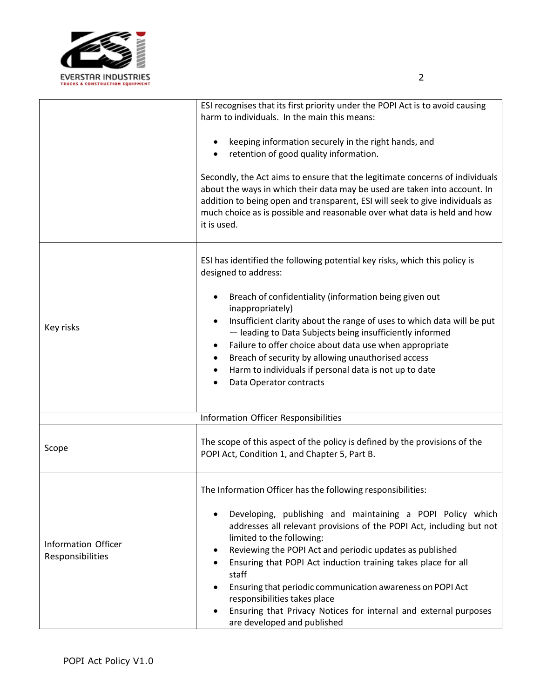

|                                         | ESI recognises that its first priority under the POPI Act is to avoid causing<br>harm to individuals. In the main this means:<br>keeping information securely in the right hands, and<br>retention of good quality information.                                                                                                                                                                                                                                                                                                                                       |
|-----------------------------------------|-----------------------------------------------------------------------------------------------------------------------------------------------------------------------------------------------------------------------------------------------------------------------------------------------------------------------------------------------------------------------------------------------------------------------------------------------------------------------------------------------------------------------------------------------------------------------|
|                                         | Secondly, the Act aims to ensure that the legitimate concerns of individuals<br>about the ways in which their data may be used are taken into account. In<br>addition to being open and transparent, ESI will seek to give individuals as<br>much choice as is possible and reasonable over what data is held and how<br>it is used.                                                                                                                                                                                                                                  |
|                                         | ESI has identified the following potential key risks, which this policy is<br>designed to address:                                                                                                                                                                                                                                                                                                                                                                                                                                                                    |
| Key risks                               | Breach of confidentiality (information being given out<br>inappropriately)<br>Insufficient clarity about the range of uses to which data will be put<br>٠<br>- leading to Data Subjects being insufficiently informed<br>Failure to offer choice about data use when appropriate<br>Breach of security by allowing unauthorised access<br>Harm to individuals if personal data is not up to date<br>Data Operator contracts                                                                                                                                           |
|                                         | Information Officer Responsibilities                                                                                                                                                                                                                                                                                                                                                                                                                                                                                                                                  |
| Scope                                   | The scope of this aspect of the policy is defined by the provisions of the<br>POPI Act, Condition 1, and Chapter 5, Part B.                                                                                                                                                                                                                                                                                                                                                                                                                                           |
| Information Officer<br>Responsibilities | The Information Officer has the following responsibilities:<br>Developing, publishing and maintaining a POPI Policy which<br>addresses all relevant provisions of the POPI Act, including but not<br>limited to the following:<br>Reviewing the POPI Act and periodic updates as published<br>Ensuring that POPI Act induction training takes place for all<br>staff<br>Ensuring that periodic communication awareness on POPI Act<br>responsibilities takes place<br>Ensuring that Privacy Notices for internal and external purposes<br>are developed and published |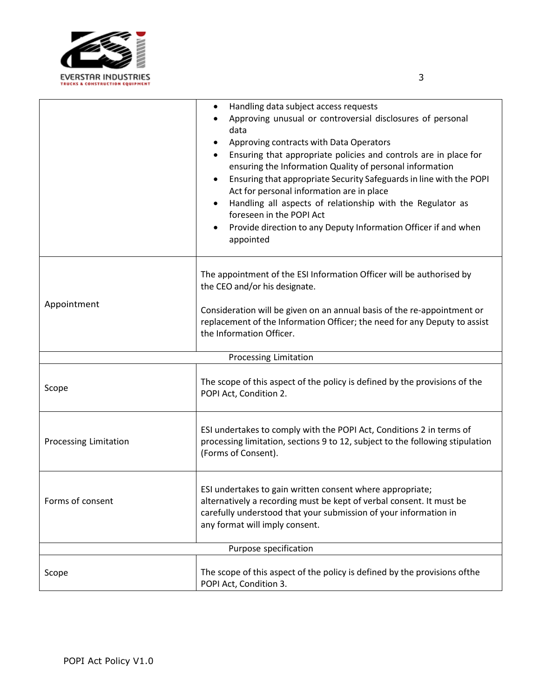

|                       | Handling data subject access requests<br>٠<br>Approving unusual or controversial disclosures of personal<br>data<br>Approving contracts with Data Operators<br>Ensuring that appropriate policies and controls are in place for<br>ensuring the Information Quality of personal information<br>Ensuring that appropriate Security Safeguards in line with the POPI<br>Act for personal information are in place<br>Handling all aspects of relationship with the Regulator as<br>foreseen in the POPI Act<br>Provide direction to any Deputy Information Officer if and when<br>appointed |
|-----------------------|-------------------------------------------------------------------------------------------------------------------------------------------------------------------------------------------------------------------------------------------------------------------------------------------------------------------------------------------------------------------------------------------------------------------------------------------------------------------------------------------------------------------------------------------------------------------------------------------|
| Appointment           | The appointment of the ESI Information Officer will be authorised by<br>the CEO and/or his designate.<br>Consideration will be given on an annual basis of the re-appointment or<br>replacement of the Information Officer; the need for any Deputy to assist<br>the Information Officer.                                                                                                                                                                                                                                                                                                 |
|                       | Processing Limitation                                                                                                                                                                                                                                                                                                                                                                                                                                                                                                                                                                     |
| Scope                 | The scope of this aspect of the policy is defined by the provisions of the<br>POPI Act, Condition 2.                                                                                                                                                                                                                                                                                                                                                                                                                                                                                      |
| Processing Limitation | ESI undertakes to comply with the POPI Act, Conditions 2 in terms of<br>processing limitation, sections 9 to 12, subject to the following stipulation<br>(Forms of Consent).                                                                                                                                                                                                                                                                                                                                                                                                              |
| Forms of consent      | ESI undertakes to gain written consent where appropriate;<br>alternatively a recording must be kept of verbal consent. It must be<br>carefully understood that your submission of your information in<br>any format will imply consent.                                                                                                                                                                                                                                                                                                                                                   |
|                       | Purpose specification                                                                                                                                                                                                                                                                                                                                                                                                                                                                                                                                                                     |
| Scope                 | The scope of this aspect of the policy is defined by the provisions of the<br>POPI Act, Condition 3.                                                                                                                                                                                                                                                                                                                                                                                                                                                                                      |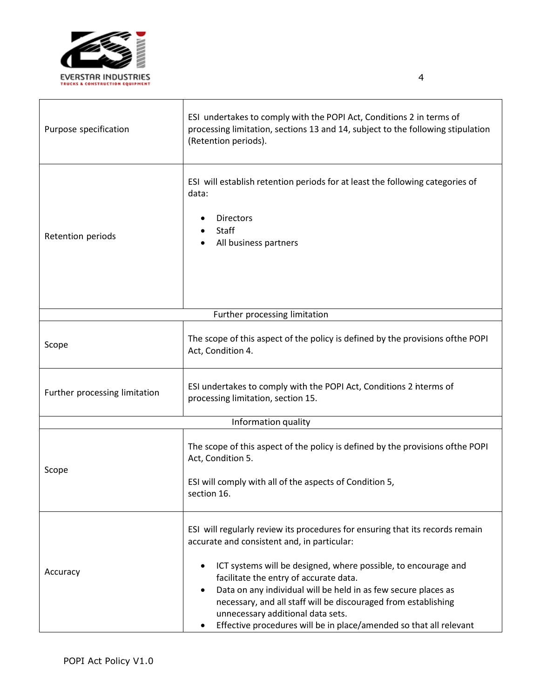

 $\mathbf{I}$ 

| Purpose specification         | ESI undertakes to comply with the POPI Act, Conditions 2 in terms of<br>processing limitation, sections 13 and 14, subject to the following stipulation<br>(Retention periods).                                                                                                                                                                                                                                                                                                         |  |
|-------------------------------|-----------------------------------------------------------------------------------------------------------------------------------------------------------------------------------------------------------------------------------------------------------------------------------------------------------------------------------------------------------------------------------------------------------------------------------------------------------------------------------------|--|
| Retention periods             | ESI will establish retention periods for at least the following categories of<br>data:<br><b>Directors</b><br>Staff<br>All business partners                                                                                                                                                                                                                                                                                                                                            |  |
|                               | Further processing limitation                                                                                                                                                                                                                                                                                                                                                                                                                                                           |  |
| Scope                         | The scope of this aspect of the policy is defined by the provisions of the POPI<br>Act, Condition 4.                                                                                                                                                                                                                                                                                                                                                                                    |  |
| Further processing limitation | ESI undertakes to comply with the POPI Act, Conditions 2 nterms of<br>processing limitation, section 15.                                                                                                                                                                                                                                                                                                                                                                                |  |
| Information quality           |                                                                                                                                                                                                                                                                                                                                                                                                                                                                                         |  |
| Scope                         | The scope of this aspect of the policy is defined by the provisions of the POPI<br>Act, Condition 5.<br>ESI will comply with all of the aspects of Condition 5,<br>section 16.                                                                                                                                                                                                                                                                                                          |  |
| Accuracy                      | ESI will regularly review its procedures for ensuring that its records remain<br>accurate and consistent and, in particular:<br>ICT systems will be designed, where possible, to encourage and<br>facilitate the entry of accurate data.<br>Data on any individual will be held in as few secure places as<br>necessary, and all staff will be discouraged from establishing<br>unnecessary additional data sets.<br>Effective procedures will be in place/amended so that all relevant |  |

 $\perp$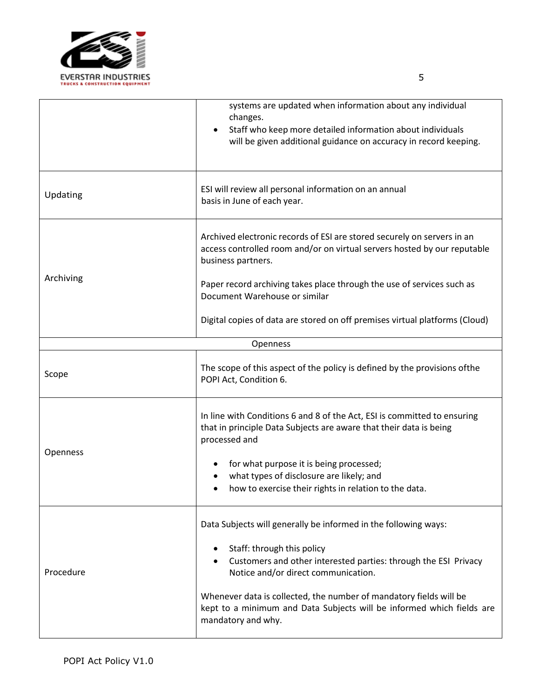

|           | systems are updated when information about any individual<br>changes.<br>Staff who keep more detailed information about individuals<br>will be given additional guidance on accuracy in record keeping.                                                                                                                                                                      |
|-----------|------------------------------------------------------------------------------------------------------------------------------------------------------------------------------------------------------------------------------------------------------------------------------------------------------------------------------------------------------------------------------|
| Updating  | ESI will review all personal information on an annual<br>basis in June of each year.                                                                                                                                                                                                                                                                                         |
| Archiving | Archived electronic records of ESI are stored securely on servers in an<br>access controlled room and/or on virtual servers hosted by our reputable<br>business partners.<br>Paper record archiving takes place through the use of services such as<br>Document Warehouse or similar                                                                                         |
|           | Digital copies of data are stored on off premises virtual platforms (Cloud)                                                                                                                                                                                                                                                                                                  |
|           | Openness                                                                                                                                                                                                                                                                                                                                                                     |
| Scope     | The scope of this aspect of the policy is defined by the provisions of the<br>POPI Act, Condition 6.                                                                                                                                                                                                                                                                         |
| Openness  | In line with Conditions 6 and 8 of the Act, ESI is committed to ensuring<br>that in principle Data Subjects are aware that their data is being<br>processed and<br>for what purpose it is being processed;<br>what types of disclosure are likely; and<br>how to exercise their rights in relation to the data.                                                              |
| Procedure | Data Subjects will generally be informed in the following ways:<br>Staff: through this policy<br>Customers and other interested parties: through the ESI Privacy<br>Notice and/or direct communication.<br>Whenever data is collected, the number of mandatory fields will be<br>kept to a minimum and Data Subjects will be informed which fields are<br>mandatory and why. |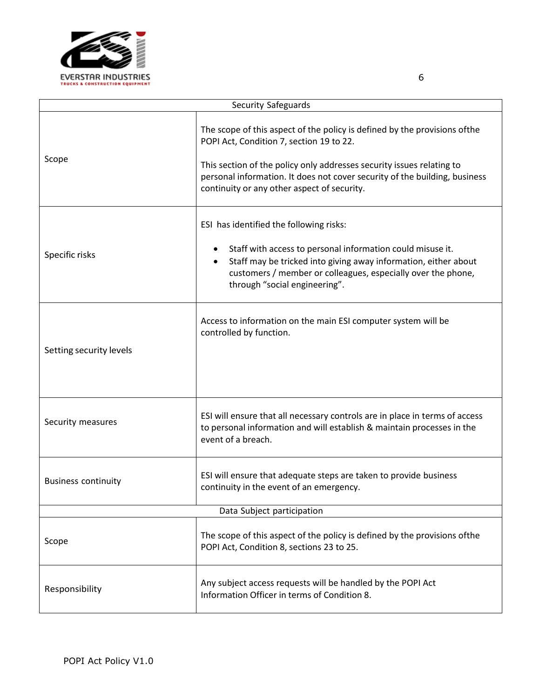

|                            | Security Safeguards                                                                                                                                                                                                                                                                                                          |  |
|----------------------------|------------------------------------------------------------------------------------------------------------------------------------------------------------------------------------------------------------------------------------------------------------------------------------------------------------------------------|--|
| Scope                      | The scope of this aspect of the policy is defined by the provisions of the<br>POPI Act, Condition 7, section 19 to 22.<br>This section of the policy only addresses security issues relating to<br>personal information. It does not cover security of the building, business<br>continuity or any other aspect of security. |  |
| Specific risks             | ESI has identified the following risks:<br>Staff with access to personal information could misuse it.<br>$\bullet$<br>Staff may be tricked into giving away information, either about<br>customers / member or colleagues, especially over the phone,<br>through "social engineering".                                       |  |
| Setting security levels    | Access to information on the main ESI computer system will be<br>controlled by function.                                                                                                                                                                                                                                     |  |
| Security measures          | ESI will ensure that all necessary controls are in place in terms of access<br>to personal information and will establish & maintain processes in the<br>event of a breach.                                                                                                                                                  |  |
| <b>Business continuity</b> | ESI will ensure that adequate steps are taken to provide business<br>continuity in the event of an emergency.                                                                                                                                                                                                                |  |
| Data Subject participation |                                                                                                                                                                                                                                                                                                                              |  |
| Scope                      | The scope of this aspect of the policy is defined by the provisions of the<br>POPI Act, Condition 8, sections 23 to 25.                                                                                                                                                                                                      |  |
| Responsibility             | Any subject access requests will be handled by the POPI Act<br>Information Officer in terms of Condition 8.                                                                                                                                                                                                                  |  |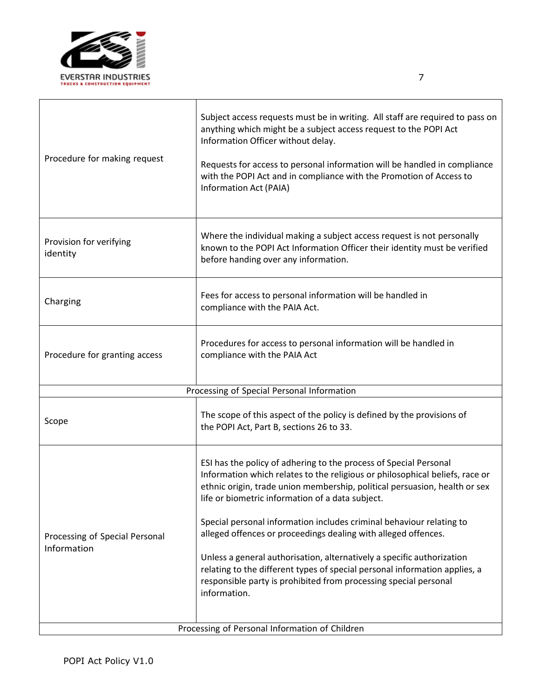

| Procedure for making request                   | Subject access requests must be in writing. All staff are required to pass on<br>anything which might be a subject access request to the POPI Act<br>Information Officer without delay.<br>Requests for access to personal information will be handled in compliance<br>with the POPI Act and in compliance with the Promotion of Access to<br>Information Act (PAIA)                                                                                                                                                                                                                                                                                                     |
|------------------------------------------------|---------------------------------------------------------------------------------------------------------------------------------------------------------------------------------------------------------------------------------------------------------------------------------------------------------------------------------------------------------------------------------------------------------------------------------------------------------------------------------------------------------------------------------------------------------------------------------------------------------------------------------------------------------------------------|
| Provision for verifying<br>identity            | Where the individual making a subject access request is not personally<br>known to the POPI Act Information Officer their identity must be verified<br>before handing over any information.                                                                                                                                                                                                                                                                                                                                                                                                                                                                               |
| Charging                                       | Fees for access to personal information will be handled in<br>compliance with the PAIA Act.                                                                                                                                                                                                                                                                                                                                                                                                                                                                                                                                                                               |
| Procedure for granting access                  | Procedures for access to personal information will be handled in<br>compliance with the PAIA Act                                                                                                                                                                                                                                                                                                                                                                                                                                                                                                                                                                          |
|                                                | Processing of Special Personal Information                                                                                                                                                                                                                                                                                                                                                                                                                                                                                                                                                                                                                                |
| Scope                                          | The scope of this aspect of the policy is defined by the provisions of<br>the POPI Act, Part B, sections 26 to 33.                                                                                                                                                                                                                                                                                                                                                                                                                                                                                                                                                        |
| Processing of Special Personal<br>Information  | ESI has the policy of adhering to the process of Special Personal<br>Information which relates to the religious or philosophical beliefs, race or<br>ethnic origin, trade union membership, political persuasion, health or sex<br>life or biometric information of a data subject.<br>Special personal information includes criminal behaviour relating to<br>alleged offences or proceedings dealing with alleged offences.<br>Unless a general authorisation, alternatively a specific authorization<br>relating to the different types of special personal information applies, a<br>responsible party is prohibited from processing special personal<br>information. |
| Processing of Personal Information of Children |                                                                                                                                                                                                                                                                                                                                                                                                                                                                                                                                                                                                                                                                           |

٦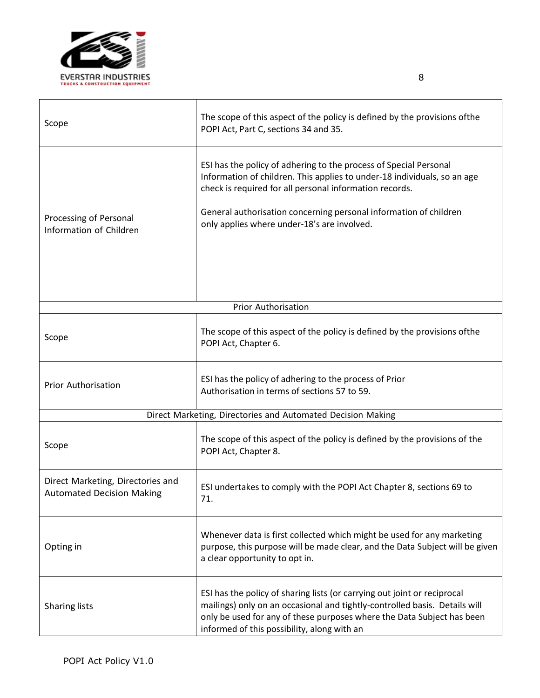

| Scope                                                                 | The scope of this aspect of the policy is defined by the provisions of the<br>POPI Act, Part C, sections 34 and 35.                                                                                                                                                                                                          |
|-----------------------------------------------------------------------|------------------------------------------------------------------------------------------------------------------------------------------------------------------------------------------------------------------------------------------------------------------------------------------------------------------------------|
| Processing of Personal<br>Information of Children                     | ESI has the policy of adhering to the process of Special Personal<br>Information of children. This applies to under-18 individuals, so an age<br>check is required for all personal information records.<br>General authorisation concerning personal information of children<br>only applies where under-18's are involved. |
|                                                                       | <b>Prior Authorisation</b>                                                                                                                                                                                                                                                                                                   |
| Scope                                                                 | The scope of this aspect of the policy is defined by the provisions of the<br>POPI Act, Chapter 6.                                                                                                                                                                                                                           |
| <b>Prior Authorisation</b>                                            | ESI has the policy of adhering to the process of Prior<br>Authorisation in terms of sections 57 to 59.                                                                                                                                                                                                                       |
| Direct Marketing, Directories and Automated Decision Making           |                                                                                                                                                                                                                                                                                                                              |
| Scope                                                                 | The scope of this aspect of the policy is defined by the provisions of the<br>POPI Act, Chapter 8.                                                                                                                                                                                                                           |
| Direct Marketing, Directories and<br><b>Automated Decision Making</b> | ESI undertakes to comply with the POPI Act Chapter 8, sections 69 to<br>71.                                                                                                                                                                                                                                                  |
| Opting in                                                             | Whenever data is first collected which might be used for any marketing<br>purpose, this purpose will be made clear, and the Data Subject will be given<br>a clear opportunity to opt in.                                                                                                                                     |
| <b>Sharing lists</b>                                                  | ESI has the policy of sharing lists (or carrying out joint or reciprocal<br>mailings) only on an occasional and tightly-controlled basis. Details will<br>only be used for any of these purposes where the Data Subject has been<br>informed of this possibility, along with an                                              |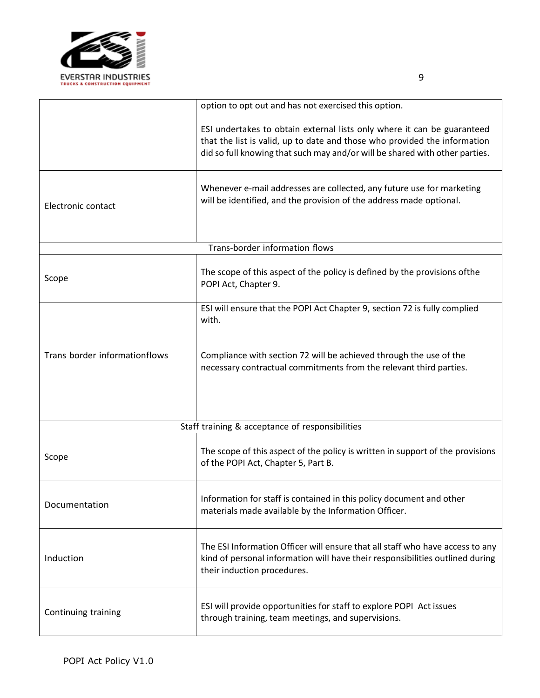

|                               | option to opt out and has not exercised this option.                                                                                                                                                                                |
|-------------------------------|-------------------------------------------------------------------------------------------------------------------------------------------------------------------------------------------------------------------------------------|
|                               | ESI undertakes to obtain external lists only where it can be guaranteed<br>that the list is valid, up to date and those who provided the information<br>did so full knowing that such may and/or will be shared with other parties. |
| Electronic contact            | Whenever e-mail addresses are collected, any future use for marketing<br>will be identified, and the provision of the address made optional.                                                                                        |
|                               | Trans-border information flows                                                                                                                                                                                                      |
| Scope                         | The scope of this aspect of the policy is defined by the provisions of the<br>POPI Act, Chapter 9.                                                                                                                                  |
|                               | ESI will ensure that the POPI Act Chapter 9, section 72 is fully complied<br>with.                                                                                                                                                  |
| Trans border informationflows | Compliance with section 72 will be achieved through the use of the<br>necessary contractual commitments from the relevant third parties.                                                                                            |
|                               | Staff training & acceptance of responsibilities                                                                                                                                                                                     |
| Scope                         | The scope of this aspect of the policy is written in support of the provisions<br>of the POPI Act, Chapter 5, Part B.                                                                                                               |
| Documentation                 | Information for staff is contained in this policy document and other<br>materials made available by the Information Officer.                                                                                                        |
| Induction                     | The ESI Information Officer will ensure that all staff who have access to any<br>kind of personal information will have their responsibilities outlined during<br>their induction procedures.                                       |
| Continuing training           | ESI will provide opportunities for staff to explore POPI Act issues<br>through training, team meetings, and supervisions.                                                                                                           |

9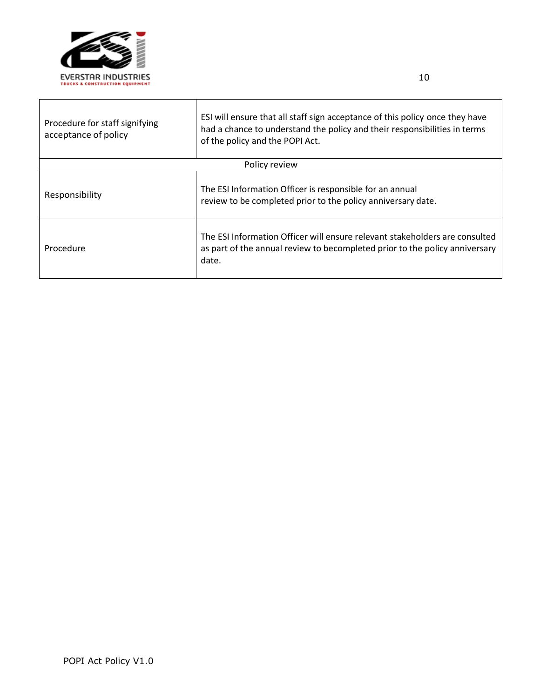

| Procedure for staff signifying<br>acceptance of policy | ESI will ensure that all staff sign acceptance of this policy once they have<br>had a chance to understand the policy and their responsibilities in terms<br>of the policy and the POPI Act. |
|--------------------------------------------------------|----------------------------------------------------------------------------------------------------------------------------------------------------------------------------------------------|
|                                                        | Policy review                                                                                                                                                                                |
| Responsibility                                         | The ESI Information Officer is responsible for an annual<br>review to be completed prior to the policy anniversary date.                                                                     |
| Procedure                                              | The ESI Information Officer will ensure relevant stakeholders are consulted<br>as part of the annual review to becompleted prior to the policy anniversary<br>date.                          |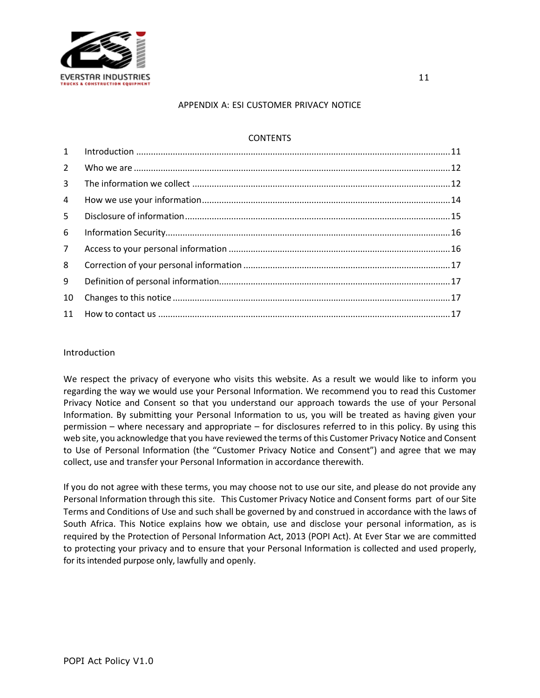

### APPENDIX A: ESI CUSTOMER PRIVACY NOTICE

# **CONTENTS**

| 1              |  |
|----------------|--|
| $2^{\circ}$    |  |
| $\overline{3}$ |  |
| 4              |  |
| 5.             |  |
| 6              |  |
| $7^{\circ}$    |  |
| 8              |  |
| 9              |  |
| 10             |  |
|                |  |

### Introduction

We respect the privacy of everyone who visits this website. As a result we would like to inform you regarding the way we would use your Personal Information. We recommend you to read this Customer Privacy Notice and Consent so that you understand our approach towards the use of your Personal Information. By submitting your Personal Information to us, you will be treated as having given your permission – where necessary and appropriate – for disclosures referred to in this policy. By using this web site, you acknowledge that you have reviewed the terms of this Customer Privacy Notice and Consent to Use of Personal Information (the "Customer Privacy Notice and Consent") and agree that we may collect, use and transfer your Personal Information in accordance therewith.

If you do not agree with these terms, you may choose not to use our site, and please do not provide any Personal Information through this site. This Customer Privacy Notice and Consent forms part of our Site Terms and Conditions of Use and such shall be governed by and construed in accordance with the laws of South Africa. This Notice explains how we obtain, use and disclose your personal information, as is required by the Protection of Personal Information Act, 2013 (POPI Act). At Ever Star we are committed to protecting your privacy and to ensure that your Personal Information is collected and used properly, for its intended purpose only, lawfully and openly.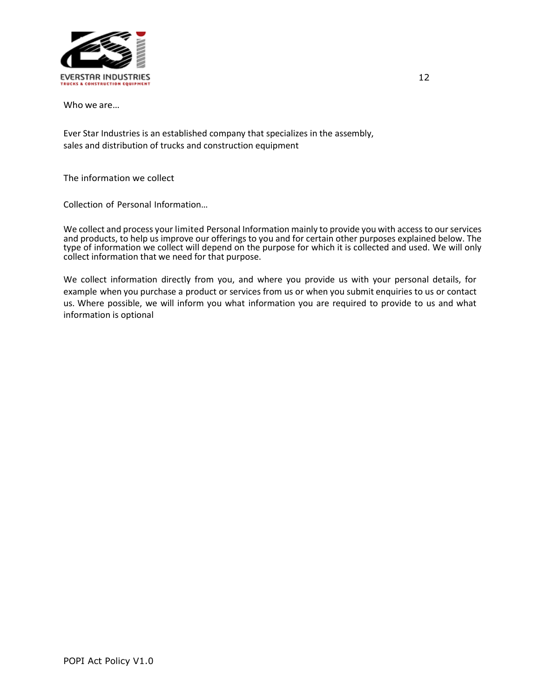

Who we are…

Ever Star Industries is an established company that specializes in the assembly, sales and distribution of trucks and construction equipment

The information we collect

Collection of Personal Information…

We collect and process your limited Personal Information mainly to provide you with access to our services and products, to help us improve our offerings to you and for certain other purposes explained below. The type of information we collect will depend on the purpose for which it is collected and used. We will only collect information that we need for that purpose.

We collect information directly from you, and where you provide us with your personal details, for example when you purchase a product or services from us or when you submit enquiries to us or contact us. Where possible, we will inform you what information you are required to provide to us and what information is optional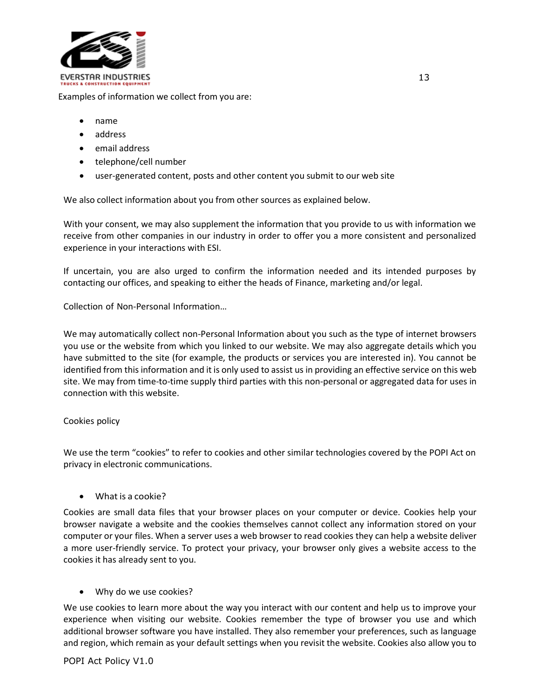

Examples of information we collect from you are:

- name
- address
- email address
- telephone/cell number
- user-generated content, posts and other content you submit to our web site

We also collect information about you from other sources as explained below.

With your consent, we may also supplement the information that you provide to us with information we receive from other companies in our industry in order to offer you a more consistent and personalized experience in your interactions with ESI.

If uncertain, you are also urged to confirm the information needed and its intended purposes by contacting our offices, and speaking to either the heads of Finance, marketing and/or legal.

Collection of Non-Personal Information…

We may automatically collect non-Personal Information about you such as the type of internet browsers you use or the website from which you linked to our website. We may also aggregate details which you have submitted to the site (for example, the products or services you are interested in). You cannot be identified from this information and it is only used to assist us in providing an effective service on this web site. We may from time-to-time supply third parties with this non-personal or aggregated data for uses in connection with this website.

## Cookies policy

We use the term "cookies" to refer to cookies and other similar technologies covered by the POPI Act on privacy in electronic communications.

• What is a cookie?

Cookies are small data files that your browser places on your computer or device. Cookies help your browser navigate a website and the cookies themselves cannot collect any information stored on your computer or your files. When a server uses a web browser to read cookies they can help a website deliver a more user-friendly service. To protect your privacy, your browser only gives a website access to the cookies it has already sent to you.

## • Why do we use cookies?

We use cookies to learn more about the way you interact with our content and help us to improve your experience when visiting our website. Cookies remember the type of browser you use and which additional browser software you have installed. They also remember your preferences, such as language and region, which remain as your default settings when you revisit the website. Cookies also allow you to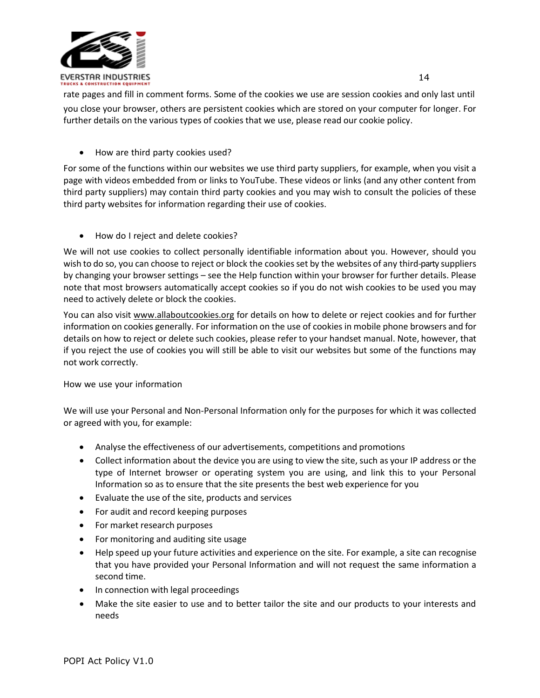

rate pages and fill in comment forms. Some of the cookies we use are session cookies and only last until you close your browser, others are persistent cookies which are stored on your computer for longer. For further details on the various types of cookies that we use, please read our cookie policy.

• How are third party cookies used?

For some of the functions within our websites we use third party suppliers, for example, when you visit a page with videos embedded from or links to YouTube. These videos or links (and any other content from third party suppliers) may contain third party cookies and you may wish to consult the policies of these third party websites for information regarding their use of cookies.

• How do I reject and delete cookies?

We will not use cookies to collect personally identifiable information about you. However, should you wish to do so, you can choose to reject or block the cookies set by the websites of any third-party suppliers by changing your browser settings – see the Help function within your browser for further details. Please note that most browsers automatically accept cookies so if you do not wish cookies to be used you may need to actively delete or block the cookies.

You can also visit [www.allaboutcookies.org](http://www.allaboutcookies.org/) for details on how to delete or reject cookies and for further information on cookies generally. For information on the use of cookies in mobile phone browsers and for details on how to reject or delete such cookies, please refer to your handset manual. Note, however, that if you reject the use of cookies you will still be able to visit our websites but some of the functions may not work correctly.

How we use your information

We will use your Personal and Non-Personal Information only for the purposes for which it was collected or agreed with you, for example:

- Analyse the effectiveness of our advertisements, competitions and promotions
- Collect information about the device you are using to view the site, such as your IP address or the type of Internet browser or operating system you are using, and link this to your Personal Information so as to ensure that the site presents the best web experience for you
- Evaluate the use of the site, products and services
- For audit and record keeping purposes
- For market research purposes
- For monitoring and auditing site usage
- Help speed up your future activities and experience on the site. For example, a site can recognise that you have provided your Personal Information and will not request the same information a second time.
- In connection with legal proceedings
- Make the site easier to use and to better tailor the site and our products to your interests and needs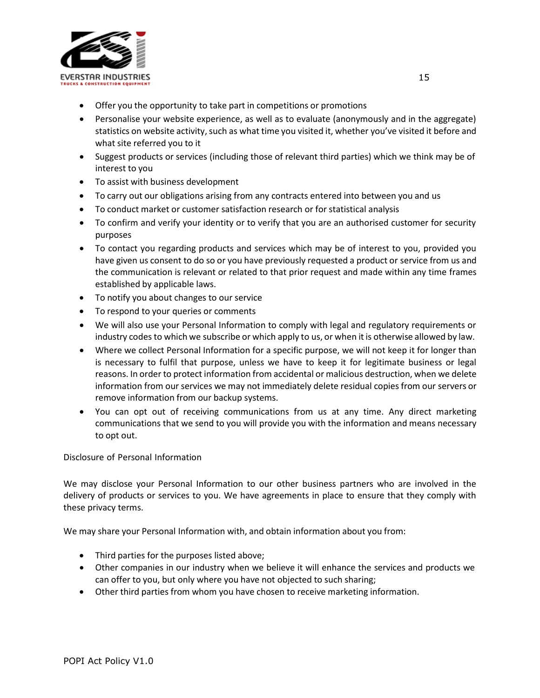

- Offer you the opportunity to take part in competitions or promotions
- Personalise your website experience, as well as to evaluate (anonymously and in the aggregate) statistics on website activity, such as what time you visited it, whether you've visited it before and what site referred you to it
- Suggest products or services (including those of relevant third parties) which we think may be of interest to you
- To assist with business development
- To carry out our obligations arising from any contracts entered into between you and us
- To conduct market or customer satisfaction research or for statistical analysis
- To confirm and verify your identity or to verify that you are an authorised customer for security purposes
- To contact you regarding products and services which may be of interest to you, provided you have given us consent to do so or you have previously requested a product or service from us and the communication is relevant or related to that prior request and made within any time frames established by applicable laws.
- To notify you about changes to our service
- To respond to your queries or comments
- We will also use your Personal Information to comply with legal and regulatory requirements or industry codes to which we subscribe or which apply to us, or when it is otherwise allowed by law.
- Where we collect Personal Information for a specific purpose, we will not keep it for longer than is necessary to fulfil that purpose, unless we have to keep it for legitimate business or legal reasons. In order to protect information from accidental or malicious destruction, when we delete information from our services we may not immediately delete residual copies from our servers or remove information from our backup systems.
- You can opt out of receiving communications from us at any time. Any direct marketing communications that we send to you will provide you with the information and means necessary to opt out.

Disclosure of Personal Information

We may disclose your Personal Information to our other business partners who are involved in the delivery of products or services to you. We have agreements in place to ensure that they comply with these privacy terms.

We may share your Personal Information with, and obtain information about you from:

- Third parties for the purposes listed above;
- Other companies in our industry when we believe it will enhance the services and products we can offer to you, but only where you have not objected to such sharing;
- Other third parties from whom you have chosen to receive marketing information.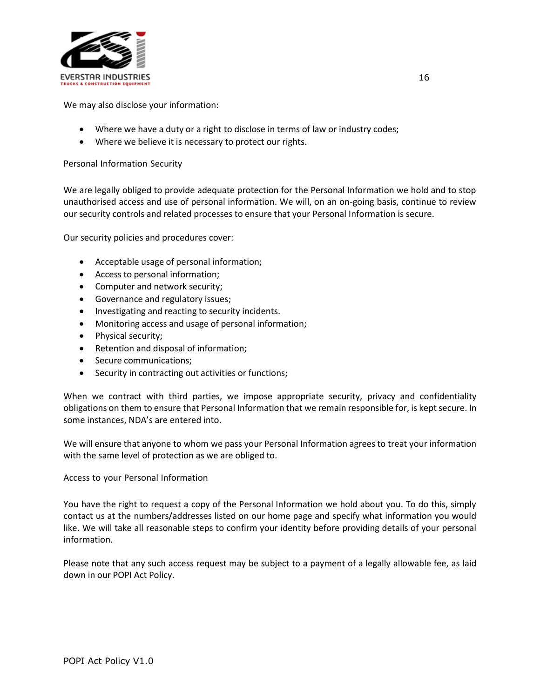

We may also disclose your information:

- Where we have a duty or a right to disclose in terms of law or industry codes;
- Where we believe it is necessary to protect our rights.

# Personal Information Security

We are legally obliged to provide adequate protection for the Personal Information we hold and to stop unauthorised access and use of personal information. We will, on an on-going basis, continue to review our security controls and related processes to ensure that your Personal Information is secure.

Our security policies and procedures cover:

- Acceptable usage of personal information;
- Access to personal information;
- Computer and network security;
- Governance and regulatory issues;
- Investigating and reacting to security incidents.
- Monitoring access and usage of personal information;
- Physical security;
- Retention and disposal of information;
- Secure communications;
- Security in contracting out activities or functions;

When we contract with third parties, we impose appropriate security, privacy and confidentiality obligations on them to ensure that Personal Information that we remain responsible for, is kept secure. In some instances, NDA's are entered into.

We will ensure that anyone to whom we pass your Personal Information agrees to treat your information with the same level of protection as we are obliged to.

Access to your Personal Information

You have the right to request a copy of the Personal Information we hold about you. To do this, simply contact us at the numbers/addresses listed on our home page and specify what information you would like. We will take all reasonable steps to confirm your identity before providing details of your personal information.

Please note that any such access request may be subject to a payment of a legally allowable fee, as laid down in our POPI Act Policy.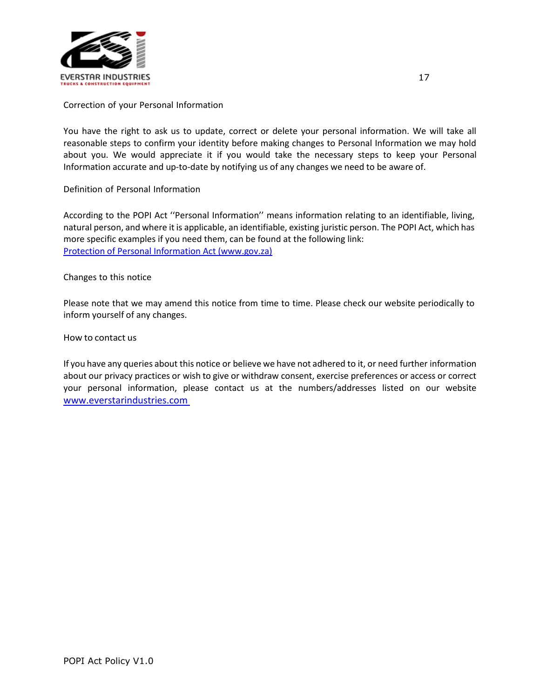

Correction of your Personal Information

You have the right to ask us to update, correct or delete your personal information. We will take all reasonable steps to confirm your identity before making changes to Personal Information we may hold about you. We would appreciate it if you would take the necessary steps to keep your Personal Information accurate and up-to-date by notifying us of any changes we need to be aware of.

Definition of Personal Information

According to the POPI Act ''Personal Information'' means information relating to an identifiable, living, natural person, and where it is applicable, an identifiable, existing juristic person. The POPI Act, which has more specific examples if you need them, can be found at the following link: [Protection of Personal Information Act \(www.gov.za\)](https://www.gov.za/sites/default/files/gcis_document/201409/3706726-11act4of2013protectionofpersonalinforcorrect.pdf)

Changes to this notice

Please note that we may amend this notice from time to time. Please check our website periodically to inform yourself of any changes.

How to contact us

If you have any queries about this notice or believe we have not adhered to it, or need further information about our privacy practices or wish to give or withdraw consent, exercise preferences or access or correct your personal information, please contact us at the numbers/addresses listed on our website www.everstarindustries.com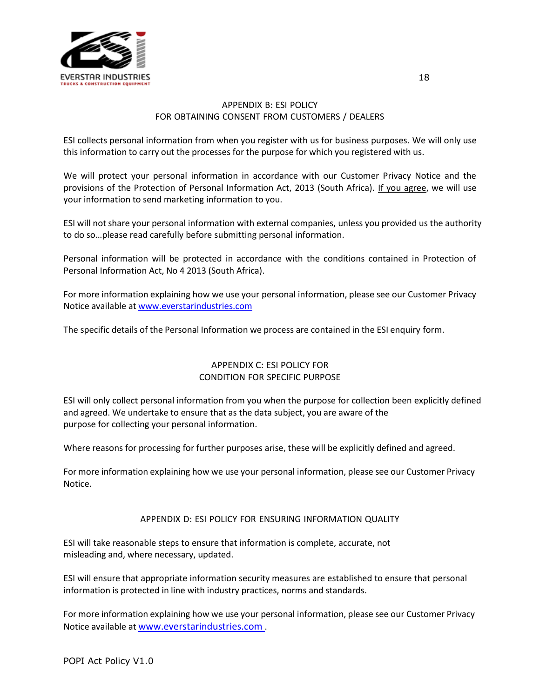

# APPENDIX B: ESI POLICY FOR OBTAINING CONSENT FROM CUSTOMERS / DEALERS

ESI collects personal information from when you register with us for business purposes. We will only use this information to carry out the processes for the purpose for which you registered with us.

We will protect your personal information in accordance with our Customer Privacy Notice and the provisions of the Protection of Personal Information Act, 2013 (South Africa). If you agree, we will use your information to send marketing information to you.

ESI will not share your personal information with external companies, unless you provided us the authority to do so…please read carefully before submitting personal information.

Personal information will be protected in accordance with the conditions contained in Protection of Personal Information Act, No 4 2013 (South Africa).

For more information explaining how we use your personal information, please see our Customer Privacy Notice available at [www.everstarindustries.com](http://www.everstarindustries.com/)

The specific details of the Personal Information we process are contained in the ESI enquiry form.

## APPENDIX C: ESI POLICY FOR CONDITION FOR SPECIFIC PURPOSE

ESI will only collect personal information from you when the purpose for collection been explicitly defined and agreed. We undertake to ensure that as the data subject, you are aware of the purpose for collecting your personal information.

Where reasons for processing for further purposes arise, these will be explicitly defined and agreed.

For more information explaining how we use your personal information, please see our Customer Privacy Notice.

## APPENDIX D: ESI POLICY FOR ENSURING INFORMATION QUALITY

ESI will take reasonable steps to ensure that information is complete, accurate, not misleading and, where necessary, updated.

ESI will ensure that appropriate information security measures are established to ensure that personal information is protected in line with industry practices, norms and standards.

For more information explaining how we use your personal information, please see our Customer Privacy Notice available at www.everstarindustries.com .